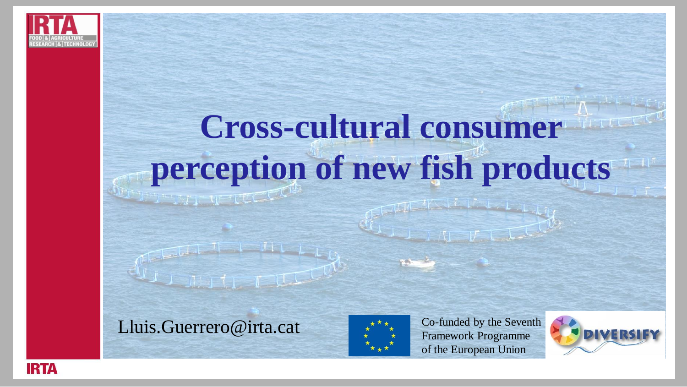

## **Cross-cultural consumer perception of new fish products**

Lluis.Guerrero@irta.cat



Co-funded by the Seventh Framework Programme of the European Union



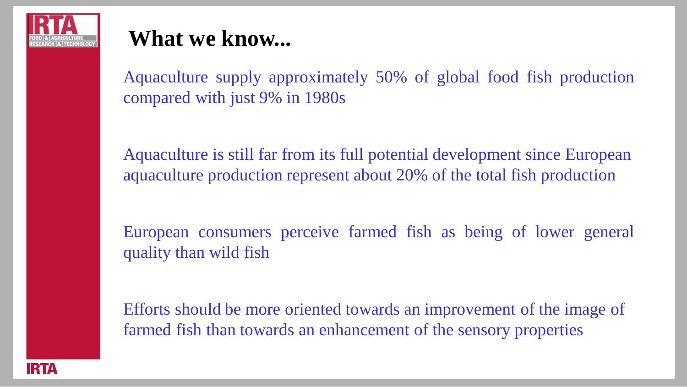

Aquaculture supply approximately 50% of global food fish production compared with just 9% in 1980s

Aquaculture is still far from its full potential development since European aquaculture production represent about 20% of the total fish production

European consumers perceive farmed fish as being of lower general quality than wild fish

Efforts should be more oriented towards an improvement of the image of farmed fish than towards an enhancement of the sensory properties

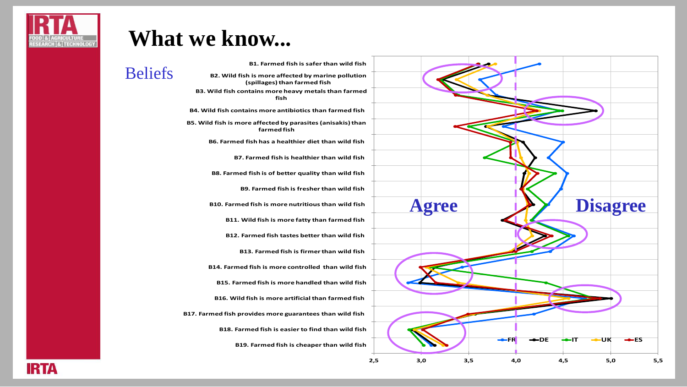

Beliefs

**B1. Farmed fish is safer than wild fish B2. Wild fish is more affected by marine pollution (spillages) than farmed fish B3. Wild fish contains more heavy metals than farmed fish B4. Wild fish contains more antibiotics than farmed fish B5. Wild fish is more affected by parasites (anisakis) than farmed fish B6. Farmed fish has a healthier diet than wild fish B7. Farmed fish is healthier than wild fish B8. Farmed fish is of better quality than wild fish B9. Farmed fish is fresher than wild fish B10. Farmed fish is more nutritious than wild fish B11. Wild fish is more fatty than farmed fish B12. Farmed fish tastes better than wild fish B13. Farmed fish is firmer than wild fish B14. Farmed fish is more controlled than wild fish B15. Farmed fish is more handled than wild fish B16. Wild fish is more artificial than farmed fish B17. Farmed fish provides more guarantees than wild fish B18. Farmed fish is easier to find than wild fish B19. Farmed fish is cheaper than wild fish**



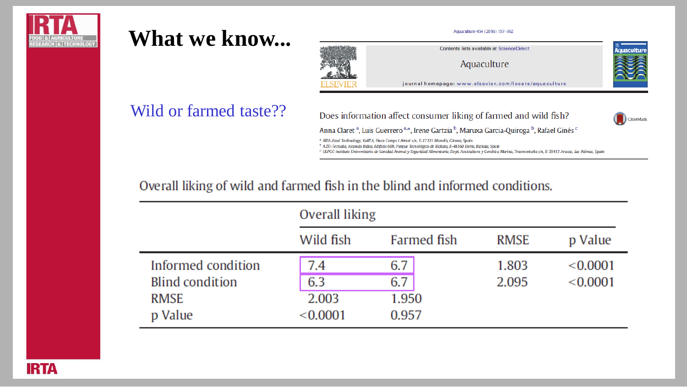



Contents lists available at ScienceDirect

Aquaculture

journal homepage: www.elsevier.com/locate/aquaculture

#### Wild or farmed taste??

Does information affect consumer liking of farmed and wild fish?



**CUIDAL** 

Anna Claret<sup>a</sup>, Luis Guerrero<sup>a,\*</sup>, Irene Gartzia<sup>b</sup>, Maruxa Garcia-Quiroga<sup>b</sup>, Rafael Ginés<sup>c</sup>

<sup>2</sup> IRTA-Food Technology, XaRTA, Finca Camps i Armet s/n, E-17121 Monells, Girona, Spain

<sup>b</sup> AZII-Tecnalia, Astondo Bidea, Edificio 609, Parque Tecnológico de Bizkaia, E-481 60 Derio, Bizkaia, Spain

<sup>c</sup> ULPGC-Instituto Universitario de Sanidad Animal y Seguridad Alimentaria, Dept. Acuicultura y Genética Marina, Trasmontaña s/n, E-35413 Arucas, Las Palmas, Spain

#### Overall liking of wild and farmed fish in the blind and informed conditions.

|                        | Overall liking |             |             |          |
|------------------------|----------------|-------------|-------------|----------|
|                        | Wild fish      | Farmed fish | <b>RMSE</b> | p Value  |
| Informed condition     | 7.4            | 6.7         | 1.803       | < 0.0001 |
| <b>Blind condition</b> | 6.3            | 6.7         | 2.095       | < 0.0001 |
| <b>RMSE</b>            | 2.003          | 1.950       |             |          |
| p Value                | < 0.0001       | 0.957       |             |          |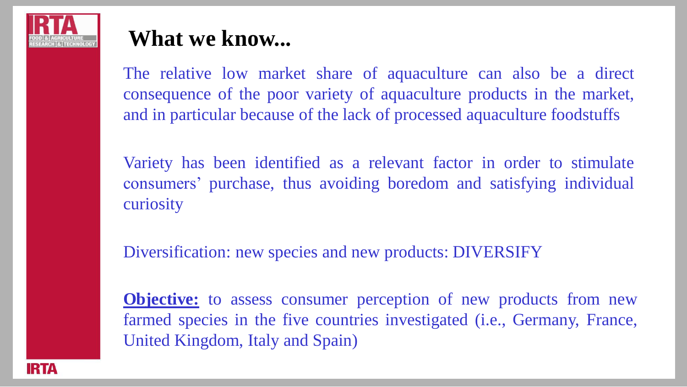

The relative low market share of aquaculture can also be a direct consequence of the poor variety of aquaculture products in the market, and in particular because of the lack of processed aquaculture foodstuffs

Variety has been identified as a relevant factor in order to stimulate consumers' purchase, thus avoiding boredom and satisfying individual curiosity

Diversification: new species and new products: DIVERSIFY

**Objective:** to assess consumer perception of new products from new farmed species in the five countries investigated (i.e., Germany, France, United Kingdom, Italy and Spain)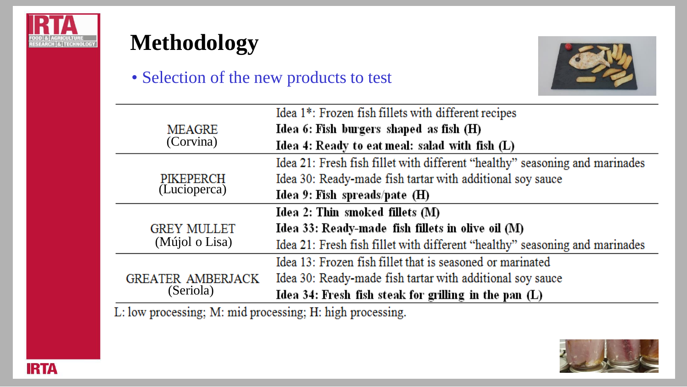



#### • Selection of the new products to test



|                          | Idea 1*: Frozen fish fillets with different recipes                         |
|--------------------------|-----------------------------------------------------------------------------|
| <b>MEAGRE</b>            | Idea 6: Fish burgers shaped as fish (H)                                     |
| (Corvina)                | Idea 4: Ready to eat meal: salad with fish (L)                              |
|                          | Idea 21: Fresh fish fillet with different "healthy" seasoning and marinades |
| PIKEPERCH                | Idea 30: Ready-made fish tartar with additional soy sauce                   |
| (Lucioperca)             | Idea 9: Fish spreads/pate $(H)$                                             |
|                          | Idea 2: Thin smoked fillets (M)                                             |
| <b>GREY MULLET</b>       | Idea 33: Ready-made fish fillets in olive oil (M)                           |
| (Mújol o Lisa)           | Idea 21: Fresh fish fillet with different "healthy" seasoning and marinades |
|                          | Idea 13: Frozen fish fillet that is seasoned or marinated                   |
| <b>GREATER AMBERJACK</b> | Idea 30: Ready-made fish tartar with additional soy sauce                   |
| (Seriola)                | Idea 34: Fresh fish steak for grilling in the pan (L)                       |

L: low processing; M: mid processing; H: high processing.

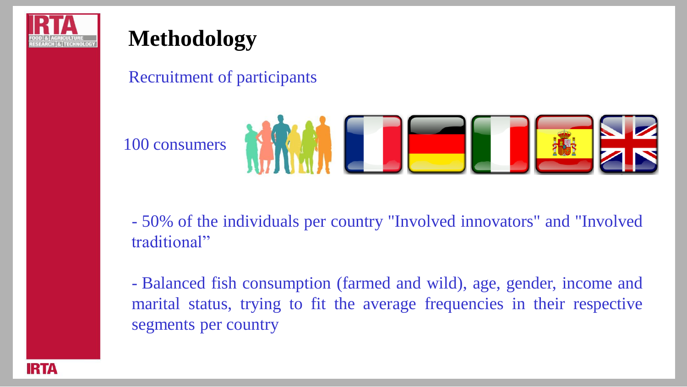

## **Methodology**

#### Recruitment of participants

100 consumers



- 50% of the individuals per country "Involved innovators" and "Involved traditional"

- Balanced fish consumption (farmed and wild), age, gender, income and marital status, trying to fit the average frequencies in their respective segments per country

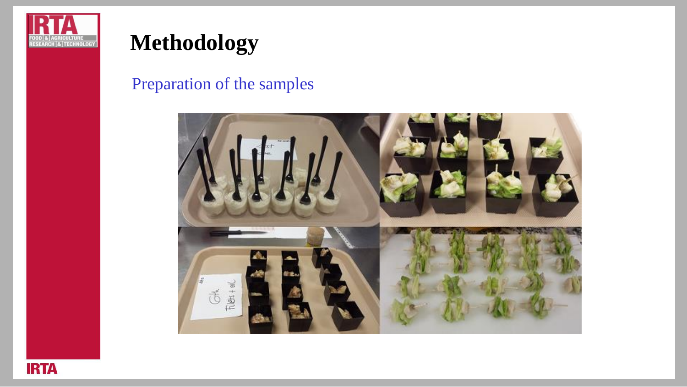

## **Methodology**

#### Preparation of the samples



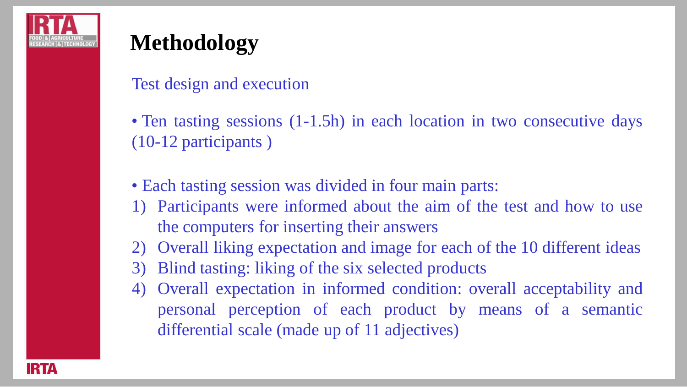

## **Methodology**

Test design and execution

• Ten tasting sessions (1-1.5h) in each location in two consecutive days (10-12 participants )

• Each tasting session was divided in four main parts:

- 1) Participants were informed about the aim of the test and how to use the computers for inserting their answers
- 2) Overall liking expectation and image for each of the 10 different ideas
- 3) Blind tasting: liking of the six selected products
- 4) Overall expectation in informed condition: overall acceptability and personal perception of each product by means of a semantic differential scale (made up of 11 adjectives)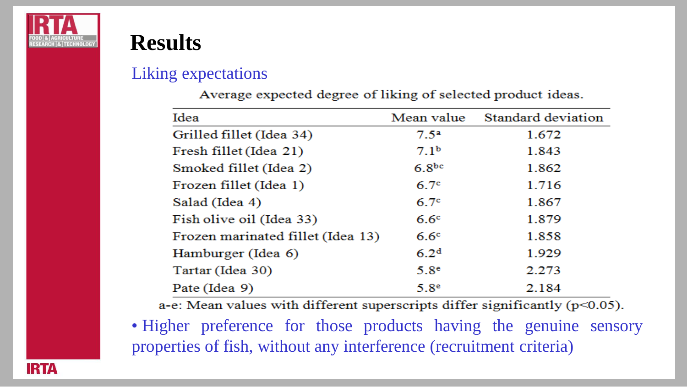



#### Liking expectations

| Idea                              | Mean value        | Standard deviation |
|-----------------------------------|-------------------|--------------------|
| Grilled fillet (Idea 34)          | $7.5^{\rm a}$     | 1.672              |
| Fresh fillet (Idea 21)            | 7.1 <sup>b</sup>  | 1.843              |
| Smoked fillet (Idea 2)            | 6.8 <sup>bc</sup> | 1.862              |
| Frozen fillet (Idea 1)            | 6.7 <sup>c</sup>  | 1.716              |
| Salad (Idea 4)                    | 6.7 <sup>c</sup>  | 1.867              |
| Fish olive oil (Idea 33)          | 6.6 <sup>c</sup>  | 1.879              |
| Frozen marinated fillet (Idea 13) | 6.6 <sup>c</sup>  | 1.858              |
| Hamburger (Idea 6)                | 6.2 <sup>d</sup>  | 1.929              |
| Tartar (Idea 30)                  | 5.8 <sup>e</sup>  | 2.273              |
| Pate (Idea 9)                     | 5.8 <sup>e</sup>  | 2.184              |

Average expected degree of liking of selected product ideas.

a-e: Mean values with different superscripts differ significantly (p<0.05).

• Higher preference for those products having the genuine sensory properties of fish, without any interference (recruitment criteria)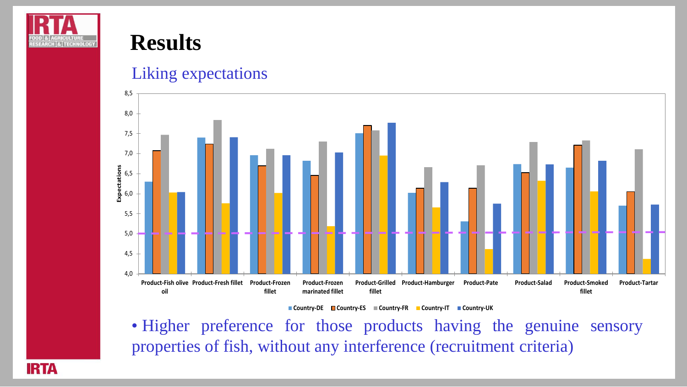

#### Liking expectations



**Country-DE Country-ES Country-FR Country-IT Country-UK**

• Higher preference for those products having the genuine sensory properties of fish, without any interference (recruitment criteria)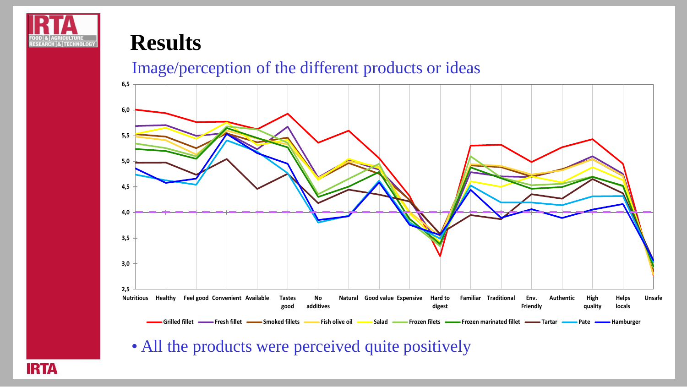

#### Image/perception of the different products or ideas



• All the products were perceived quite positively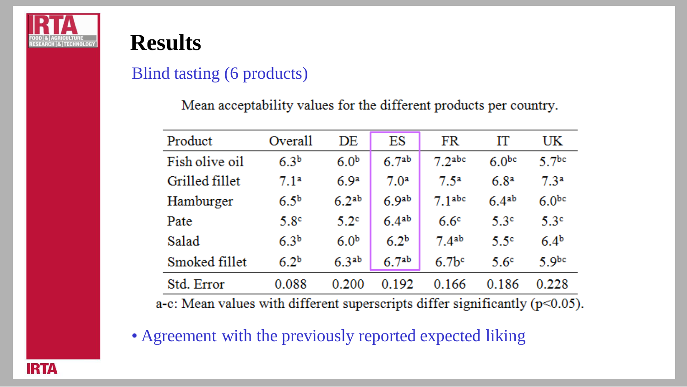

#### Blind tasting (6 products)

Mean acceptability values for the different products per country.

| Product                                                                           | Overall          | DE                | ES                | FR                 | IΤ                | UK                |
|-----------------------------------------------------------------------------------|------------------|-------------------|-------------------|--------------------|-------------------|-------------------|
| Fish olive oil                                                                    | 6.3 <sup>b</sup> | 6.0 <sup>b</sup>  | 6.7 <sup>ab</sup> | 7.2 <sub>abc</sub> | 6.0 <sup>bc</sup> | 5.7 <sup>bc</sup> |
| Grilled fillet                                                                    | 7.1 <sup>a</sup> | 6.9 <sup>a</sup>  | 7.0 <sup>a</sup>  | 7.5 <sup>a</sup>   | 6.8 <sup>a</sup>  | 7.3 <sup>a</sup>  |
| Hamburger                                                                         | 6.5 <sup>b</sup> | 6.2 <sup>ab</sup> | 6.9 <sup>ab</sup> | 7.1 <sub>abc</sub> | 6.4ab             | 6.0 <sub>pc</sub> |
| Pate                                                                              | 5.8 <sup>c</sup> | 5.2 <sup>c</sup>  | 6.4ab             | 6.6 <sup>c</sup>   | 5.3 <sup>c</sup>  | 5.3 <sup>c</sup>  |
| Salad                                                                             | 6.3 <sup>b</sup> | 6.0 <sup>b</sup>  | 6.2 <sup>b</sup>  | 7.4 <sup>ab</sup>  | 5.5 <sup>c</sup>  | 6.4 <sup>b</sup>  |
| Smoked fillet                                                                     | 6.2 <sup>b</sup> | 6.3 <sup>ab</sup> | 6.7 <sup>ab</sup> | 6.7 <sup>b</sup>   | 5.6 <sup>c</sup>  | 5.9 <sub>bc</sub> |
| Std. Error                                                                        | 0.088            | 0.200             | 0.192             | 0.166              | 0.186             | 0.228             |
| $\alpha$ . Moon values with different symptosiums differ significantly $(n<0.05)$ |                  |                   |                   |                    |                   |                   |

a-c: Mean values with different superscripts differ significantly ( $p<0.05$ ).

• Agreement with the previously reported expected liking

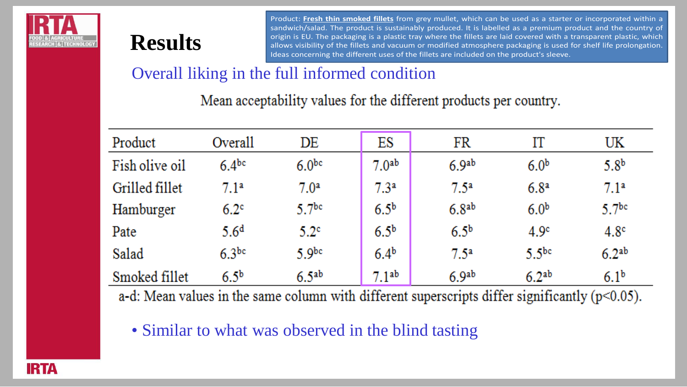

#### Overall liking in the full informed condition

|                                                                                                   |                   |                                                                   |                   |                   | Ideas concerning the different uses of the fillets are included on the product's sleeve. |                   |
|---------------------------------------------------------------------------------------------------|-------------------|-------------------------------------------------------------------|-------------------|-------------------|------------------------------------------------------------------------------------------|-------------------|
|                                                                                                   |                   | Overall liking in the full informed condition                     |                   |                   |                                                                                          |                   |
|                                                                                                   |                   | Mean acceptability values for the different products per country. |                   |                   |                                                                                          |                   |
| Product                                                                                           | Overall           | DE                                                                | ES                | FR                | IΤ                                                                                       | UK                |
| Fish olive oil                                                                                    | $6.4^{bc}$        | 6.0 <sup>bc</sup>                                                 | 7.0 <sup>ab</sup> | 6.9 <sup>ab</sup> | 6.0 <sup>b</sup>                                                                         | 5.8 <sup>b</sup>  |
| Grilled fillet                                                                                    | 7.1 <sup>a</sup>  | 7.0 <sup>a</sup>                                                  | 7.3 <sup>a</sup>  | $7.5^{\rm a}$     | 6.8 <sup>a</sup>                                                                         | 7.1 <sup>a</sup>  |
| Hamburger                                                                                         | $6.2^\circ$       | 5.7 <sup>bc</sup>                                                 | 6.5 <sup>b</sup>  | 6.8 <sup>ab</sup> | 6.0 <sup>b</sup>                                                                         | 5.7 <sup>bc</sup> |
| Pate                                                                                              | 5.6 <sup>d</sup>  | 5.2 <sup>c</sup>                                                  | 6.5 <sup>b</sup>  | 6.5 <sup>b</sup>  | 4.9 <sup>c</sup>                                                                         | 4.8 <sup>c</sup>  |
| Salad                                                                                             | 6.3 <sup>bc</sup> | 5.9 <sup>bc</sup>                                                 | 6.4 <sup>b</sup>  | 7.5 <sup>a</sup>  | 5.5 <sup>bc</sup>                                                                        | 6.2 <sup>ab</sup> |
| Smoked fillet                                                                                     | 6.5 <sup>b</sup>  | 6.5 <sup>ab</sup>                                                 | 7.1 <sup>ab</sup> | 6.9 <sup>ab</sup> | 6.2 <sup>ab</sup>                                                                        | 6.1 <sup>b</sup>  |
| a-d: Mean values in the same column with different superscripts differ significantly $(p<0.05)$ . |                   |                                                                   |                   |                   |                                                                                          |                   |

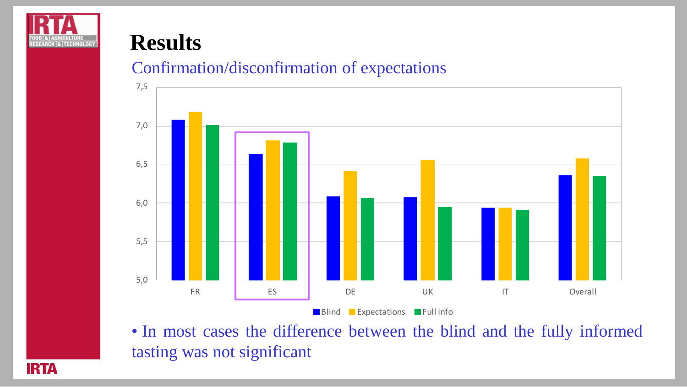

#### Confirmation/disconfirmation of expectations



• In most cases the difference between the blind and the fully informed tasting was not significant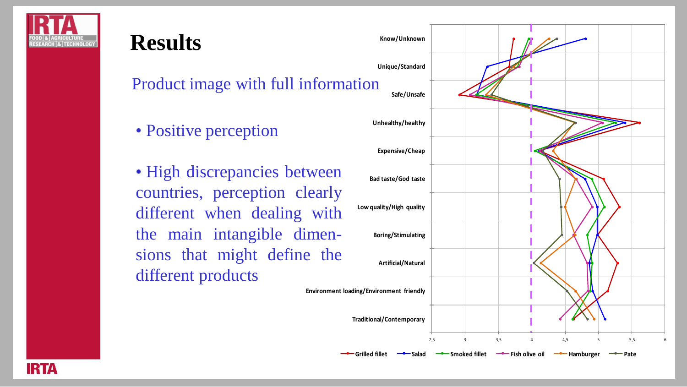

# **Results** Product image with full information • Positive perception

• High discrepancies between countries, perception clearly different when dealing with the main intangible dimensions that might define the different products

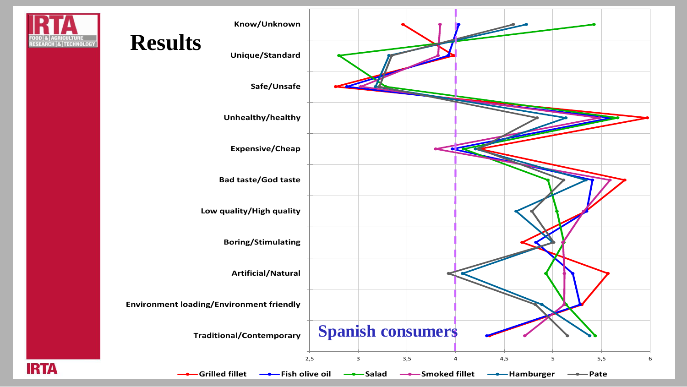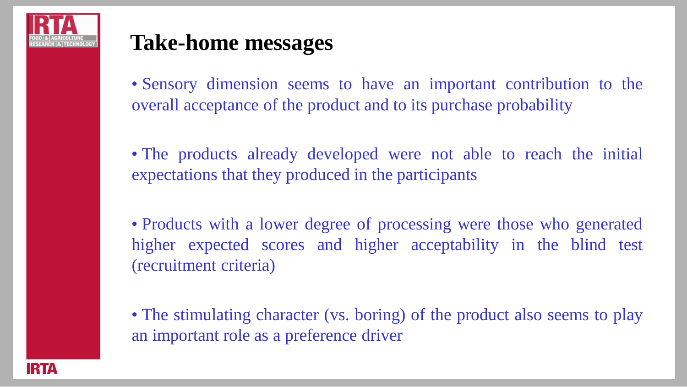

## **Take-home messages**

• Sensory dimension seems to have an important contribution to the overall acceptance of the product and to its purchase probability

• The products already developed were not able to reach the initial expectations that they produced in the participants

• Products with a lower degree of processing were those who generated higher expected scores and higher acceptability in the blind test (recruitment criteria)

• The stimulating character (vs. boring) of the product also seems to play an important role as a preference driver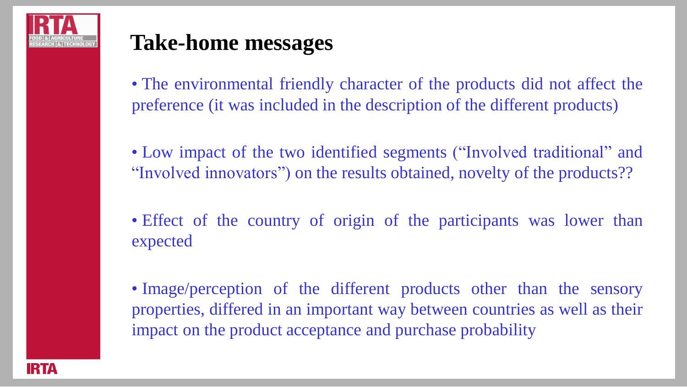

## **Take-home messages**

• The environmental friendly character of the products did not affect the preference (it was included in the description of the different products)

• Low impact of the two identified segments ("Involved traditional" and "Involved innovators") on the results obtained, novelty of the products??

- Effect of the country of origin of the participants was lower than expected
- Image/perception of the different products other than the sensory properties, differed in an important way between countries as well as their impact on the product acceptance and purchase probability